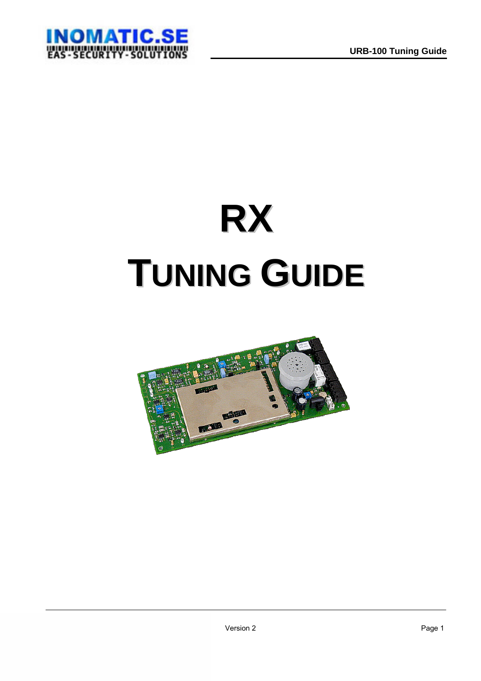

# **RX TUNING GUIDE**

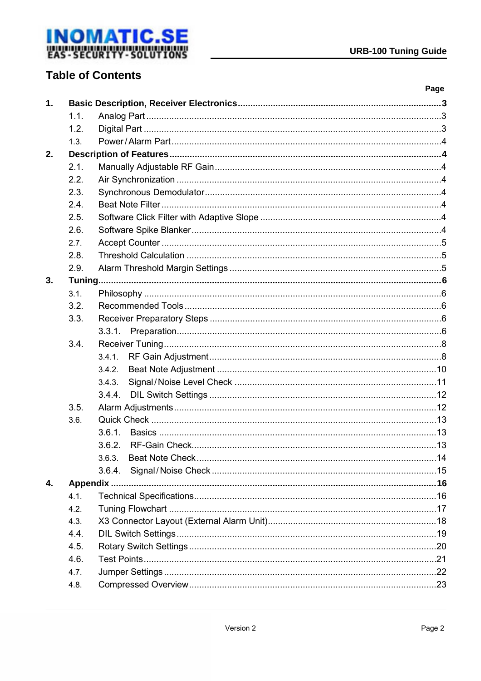

## **Table of Contents**

|                |      |        | Page |
|----------------|------|--------|------|
| $\mathbf{1}$ . |      |        |      |
|                | 1.1. |        |      |
|                | 1.2. |        |      |
|                | 1.3. |        |      |
| 2.             |      |        |      |
|                | 2.1. |        |      |
|                | 2.2. |        |      |
|                | 2.3. |        |      |
|                | 2.4. |        |      |
|                | 2.5. |        |      |
|                | 2.6. |        |      |
|                | 2.7. |        |      |
|                | 2.8. |        |      |
|                | 2.9. |        |      |
| 3.             |      |        |      |
|                | 3.1. |        |      |
|                | 3.2. |        |      |
|                | 3.3. |        |      |
|                |      |        |      |
|                | 3.4. |        |      |
|                |      | 3.4.1. |      |
|                |      | 3.4.2. |      |
|                |      | 3.4.3. |      |
|                |      | 3.4.4. |      |
|                | 3.5. |        |      |
|                | 3.6. |        |      |
|                |      | 3.6.1. |      |
|                |      |        |      |
|                |      | 3.6.3. |      |
|                |      |        |      |
| 4.             |      |        |      |
|                | 4.1. |        |      |
|                | 4.2. |        |      |
|                | 4.3. |        |      |
|                | 4.4. |        |      |
|                | 4.5. |        |      |
|                | 4.6. |        |      |
|                | 4.7. |        |      |
|                | 4.8. |        |      |
|                |      |        |      |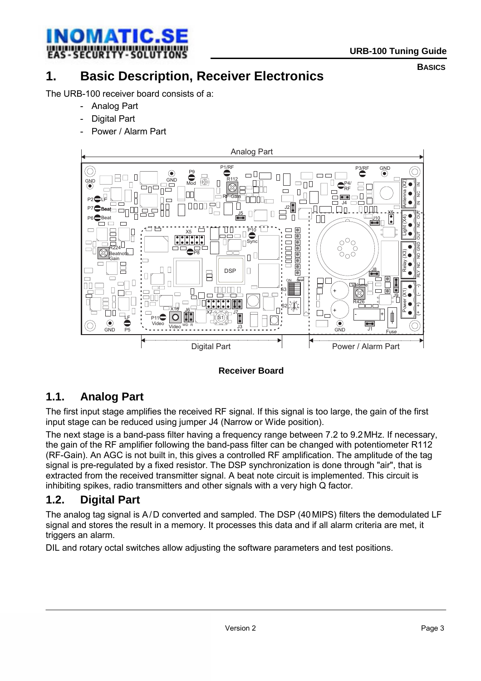<span id="page-2-0"></span>

**BASICS**

## **1. Basic Description, Receiver Electronics**

The URB-100 receiver board consists of a:

- Analog Part
- Digital Part
- Power / Alarm Part



 **Receiver Board** 

## **1.1. Analog Part**

The first input stage amplifies the received RF signal. If this signal is too large, the gain of the first input stage can be reduced using jumper J4 (Narrow or Wide position).

The next stage is a band-pass filter having a frequency range between 7.2 to 9.2MHz. If necessary, the gain of the RF amplifier following the band-pass filter can be changed with potentiometer R112 (RF-Gain). An AGC is not built in, this gives a controlled RF amplification. The amplitude of the tag signal is pre-regulated by a fixed resistor. The DSP synchronization is done through "air", that is extracted from the received transmitter signal. A beat note circuit is implemented. This circuit is inhibiting spikes, radio transmitters and other signals with a very high Q factor.

#### **1.2. Digital Part**

The analog tag signal is A/D converted and sampled. The DSP (40MIPS) filters the demodulated LF signal and stores the result in a memory. It processes this data and if all alarm criteria are met, it triggers an alarm.

DIL and rotary octal switches allow adjusting the software parameters and test positions.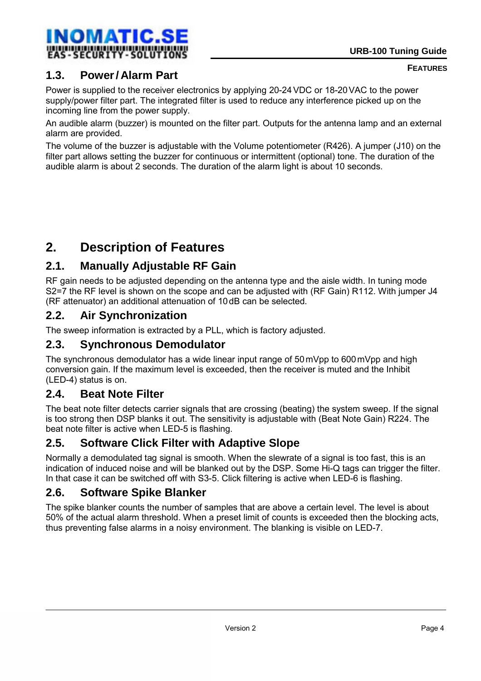<span id="page-3-0"></span>

## **1.3. Power/ Alarm Part**

Power is supplied to the receiver electronics by applying 20-24VDC or 18-20VAC to the power supply/power filter part. The integrated filter is used to reduce any interference picked up on the incoming line from the power supply.

An audible alarm (buzzer) is mounted on the filter part. Outputs for the antenna lamp and an external alarm are provided.

The volume of the buzzer is adjustable with the Volume potentiometer (R426). A jumper (J10) on the filter part allows setting the buzzer for continuous or intermittent (optional) tone. The duration of the audible alarm is about 2 seconds. The duration of the alarm light is about 10 seconds.

## **2. Description of Features**

## **2.1. Manually Adjustable RF Gain**

RF gain needs to be adjusted depending on the antenna type and the aisle width. In tuning mode S2=7 the RF level is shown on the scope and can be adjusted with (RF Gain) R112. With jumper J4 (RF attenuator) an additional attenuation of 10dB can be selected.

## **2.2. Air Synchronization**

The sweep information is extracted by a PLL, which is factory adjusted.

### **2.3. Synchronous Demodulator**

The synchronous demodulator has a wide linear input range of 50mVpp to 600mVpp and high conversion gain. If the maximum level is exceeded, then the receiver is muted and the Inhibit (LED-4) status is on.

## **2.4. Beat Note Filter**

The beat note filter detects carrier signals that are crossing (beating) the system sweep. If the signal is too strong then DSP blanks it out. The sensitivity is adjustable with (Beat Note Gain) R224. The beat note filter is active when LED-5 is flashing.

## **2.5. Software Click Filter with Adaptive Slope**

Normally a demodulated tag signal is smooth. When the slewrate of a signal is too fast, this is an indication of induced noise and will be blanked out by the DSP. Some Hi-Q tags can trigger the filter. In that case it can be switched off with S3-5. Click filtering is active when LED-6 is flashing.

#### **2.6. Software Spike Blanker**

The spike blanker counts the number of samples that are above a certain level. The level is about 50% of the actual alarm threshold. When a preset limit of counts is exceeded then the blocking acts, thus preventing false alarms in a noisy environment. The blanking is visible on LED-7.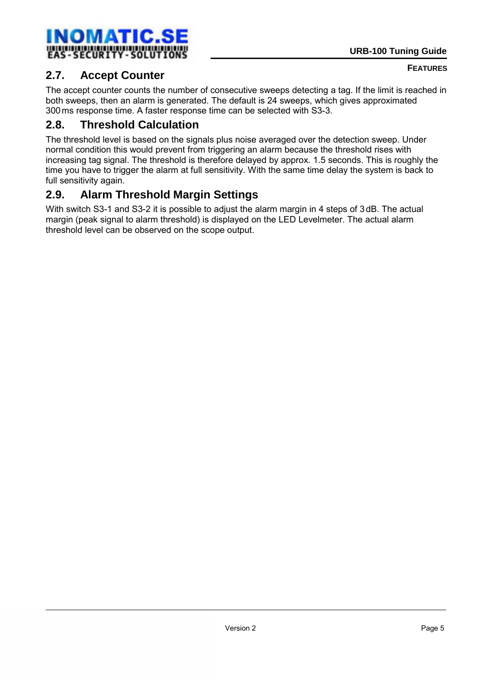## <span id="page-4-0"></span>**2.7. Accept Counter**

The accept counter counts the number of consecutive sweeps detecting a tag. If the limit is reached in both sweeps, then an alarm is generated. The default is 24 sweeps, which gives approximated 300ms response time. A faster response time can be selected with S3-3.

## **2.8. Threshold Calculation**

The threshold level is based on the signals plus noise averaged over the detection sweep. Under normal condition this would prevent from triggering an alarm because the threshold rises with increasing tag signal. The threshold is therefore delayed by approx. 1.5 seconds. This is roughly the time you have to trigger the alarm at full sensitivity. With the same time delay the system is back to full sensitivity again.

## **2.9. Alarm Threshold Margin Settings**

With switch S3-1 and S3-2 it is possible to adjust the alarm margin in 4 steps of 3dB. The actual margin (peak signal to alarm threshold) is displayed on the LED Levelmeter. The actual alarm threshold level can be observed on the scope output.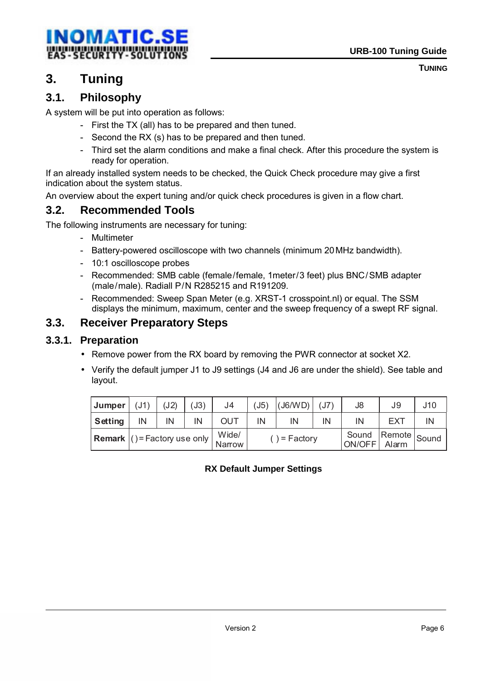<span id="page-5-0"></span>

**TUNING**

## **3. Tuning**

## **3.1. Philosophy**

A system will be put into operation as follows:

- First the TX (all) has to be prepared and then tuned.
- Second the RX (s) has to be prepared and then tuned.
- Third set the alarm conditions and make a final check. After this procedure the system is ready for operation.

If an already installed system needs to be checked, the Quick Check procedure may give a first indication about the system status.

An overview about the expert tuning and/or quick check procedures is given in a flow chart.

## **3.2. Recommended Tools**

The following instruments are necessary for tuning:

- Multimeter
- Battery-powered oscilloscope with two channels (minimum 20MHz bandwidth).
- 10:1 oscilloscope probes
- Recommended: SMB cable (female/female, 1meter/3 feet) plus BNC/SMB adapter (male/male). Radiall P/N R285215 and R191209.
- Recommended: Sweep Span Meter (e.g. XRST-1 crosspoint.nl) or equal. The SSM displays the minimum, maximum, center and the sweep frequency of a swept RF signal.

## **3.3. Receiver Preparatory Steps**

#### **3.3.1. Preparation**

- Remove power from the RX board by removing the PWR connector at socket X2.
- Verify the default jumper J1 to J9 settings (J4 and J6 are under the shield). See table and layout.

| Jumper  | (J1)                                       | (J2) | (J3) | J4              | (J5)          | $($ J6/WD $)$ | (J7) | J8                           | J9         | J10 |
|---------|--------------------------------------------|------|------|-----------------|---------------|---------------|------|------------------------------|------------|-----|
| Setting | ΙN                                         | IN   | IN   | <b>OUT</b>      | IN            | IN            | IN   | IN                           | <b>FXT</b> | ΙN  |
|         | <b>Remark</b> $( )$ = Factory use only $ $ |      |      | Wide/<br>Narrow | $) = Factory$ |               |      | Sound Remote Sound<br>ON/OFF | Alarm      |     |

#### **RX Default Jumper Settings**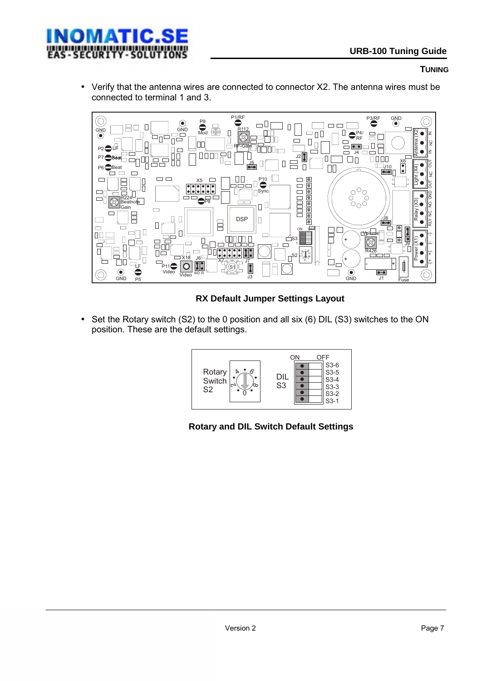

#### **TUNING**

• Verify that the antenna wires are connected to connector X2. The antenna wires must be connected to terminal 1 and 3.



#### **RX Default Jumper Settings Layout**

• Set the Rotary switch (S2) to the 0 position and all six (6) DIL (S3) switches to the ON position. These are the default settings.



**Rotary and DIL Switch Default Settings**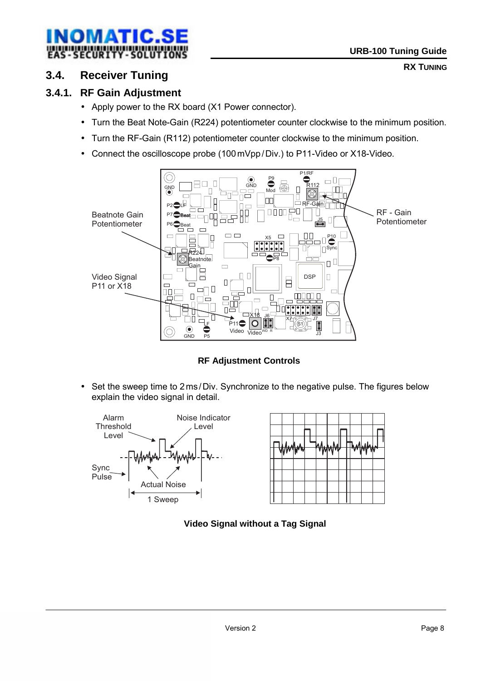<span id="page-7-0"></span>

#### **3.4. Receiver Tuning**

#### **3.4.1. RF Gain Adjustment**

- Apply power to the RX board (X1 Power connector).
- Turn the Beat Note-Gain (R224) potentiometer counter clockwise to the minimum position.
- Turn the RF-Gain (R112) potentiometer counter clockwise to the minimum position.
- Connect the oscilloscope probe (100mVpp/Div.) to P11-Video or X18-Video.



**RF Adjustment Controls** 

• Set the sweep time to 2 ms/Div. Synchronize to the negative pulse. The figures below explain the video signal in detail.



#### **Video Signal without a Tag Signal**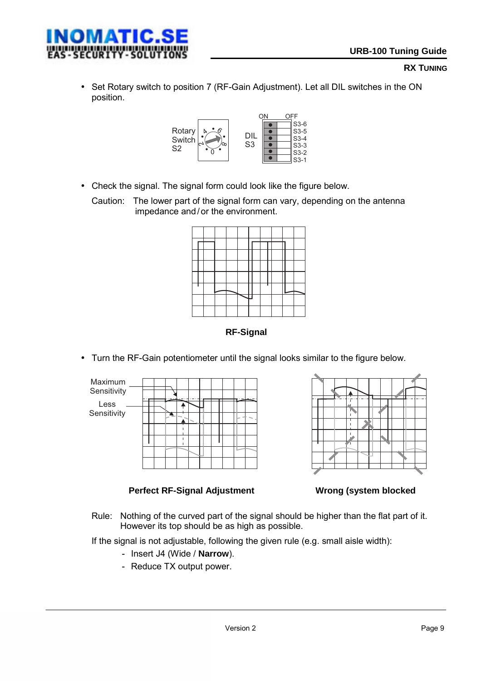• Set Rotary switch to position 7 (RF-Gain Adjustment). Let all DIL switches in the ON position.



• Check the signal. The signal form could look like the figure below.

Caution: The lower part of the signal form can vary, depending on the antenna impedance and/or the environment.

**RF-Signal** 

• Turn the RF-Gain potentiometer until the signal looks similar to the figure below.





**Perfect RF-Signal Adjustment Wrong (system blocked** 



Rule: Nothing of the curved part of the signal should be higher than the flat part of it. However its top should be as high as possible.

If the signal is not adjustable, following the given rule (e.g. small aisle width):

- Insert J4 (Wide / **Narrow**).
- Reduce TX output power.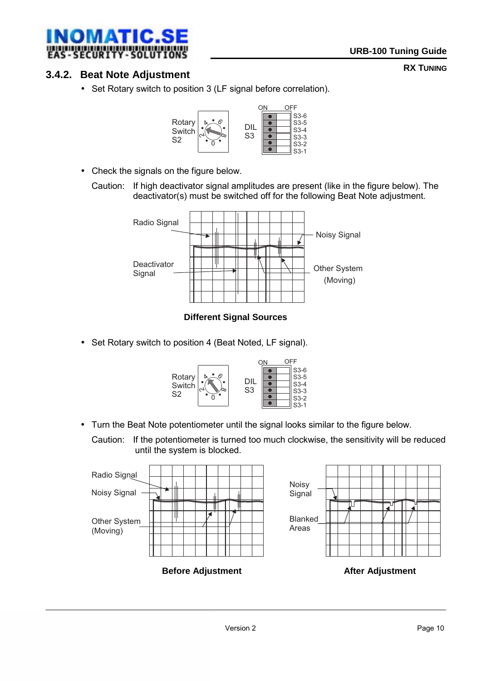<span id="page-9-0"></span>

#### **3.4.2. Beat Note Adjustment**

• Set Rotary switch to position 3 (LF signal before correlation).



- Check the signals on the figure below.
	- Caution: If high deactivator signal amplitudes are present (like in the figure below). The deactivator(s) must be switched off for the following Beat Note adjustment.



 **Different Signal Sources** 

• Set Rotary switch to position 4 (Beat Noted, LF signal).



• Turn the Beat Note potentiometer until the signal looks similar to the figure below.

Caution: If the potentiometer is turned too much clockwise, the sensitivity will be reduced until the system is blocked.

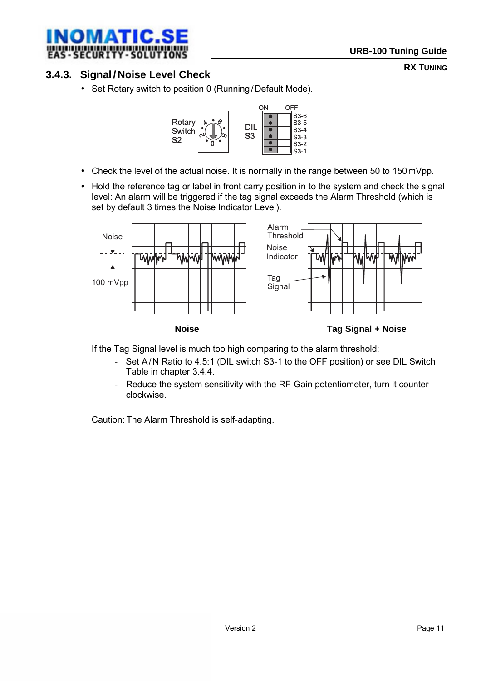<span id="page-10-0"></span>

#### **3.4.3. Signal / Noise Level Check**

• Set Rotary switch to position 0 (Running /Default Mode).



- Check the level of the actual noise. It is normally in the range between 50 to 150mVpp.
- Hold the reference tag or label in front carry position in to the system and check the signal level: An alarm will be triggered if the tag signal exceeds the Alarm Threshold (which is set by default 3 times the Noise Indicator Level).



If the Tag Signal level is much too high comparing to the alarm threshold:

- Set A/N Ratio to 4.5:1 (DIL switch S3-1 to the OFF position) or see DIL Switch Table in chapter 3.4.4.
- Reduce the system sensitivity with the RF-Gain potentiometer, turn it counter clockwise.

Caution: The Alarm Threshold is self-adapting.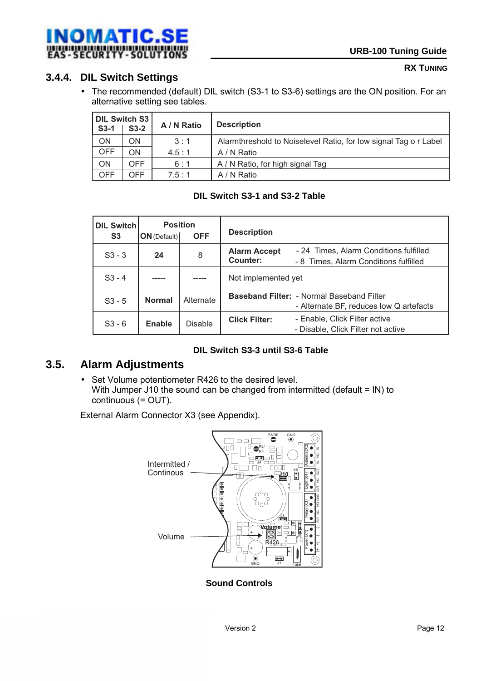<span id="page-11-0"></span>

### **3.4.4. DIL Switch Settings**

• The recommended (default) DIL switch (S3-1 to S3-6) settings are the ON position. For an alternative setting see tables.

| DIL Switch S3<br>$S3-1$<br>$S3-2$ |            | A / N Ratio | <b>Description</b>                                               |
|-----------------------------------|------------|-------------|------------------------------------------------------------------|
| ON                                | ΟN         | 3:1         | Alarmthreshold to Noiselevel Ratio, for low signal Tag o r Label |
| <b>OFF</b>                        | ON         | 4.5:1       | A / N Ratio                                                      |
| ON                                | OFF.       | 6:1         | A / N Ratio, for high signal Tag                                 |
| <b>OFF</b>                        | <b>DFF</b> | 7.5:1       | A / N Ratio                                                      |

#### **DIL Switch S3-1 and S3-2 Table**

| <b>DIL Switch</b><br>S <sub>3</sub> | <b>Position</b><br>$ON$ (Default) | <b>OFF</b>     | <b>Description</b>              |                                                                                             |
|-------------------------------------|-----------------------------------|----------------|---------------------------------|---------------------------------------------------------------------------------------------|
| $S3 - 3$                            | 24                                | 8              | <b>Alarm Accept</b><br>Counter: | - 24 Times, Alarm Conditions fulfilled<br>- 8 Times, Alarm Conditions fulfilled             |
| $S3 - 4$                            |                                   |                | Not implemented yet             |                                                                                             |
| $S3 - 5$                            | <b>Normal</b>                     | Alternate      |                                 | <b>Baseband Filter: - Normal Baseband Filter</b><br>- Alternate BF, reduces low Q artefacts |
| $S3 - 6$                            | Enable                            | <b>Disable</b> | <b>Click Filter:</b>            | - Enable, Click Filter active<br>- Disable, Click Filter not active                         |

#### **DIL Switch S3-3 until S3-6 Table**

#### **3.5. Alarm Adjustments**

• Set Volume potentiometer R426 to the desired level. With Jumper J10 the sound can be changed from intermitted (default = IN) to continuous (= OUT).

External Alarm Connector X3 (see Appendix).



 **Sound Controls**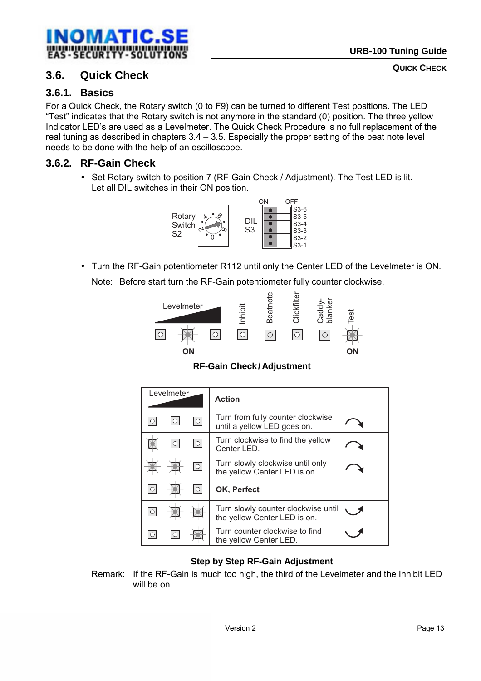<span id="page-12-0"></span>

#### **3.6. Quick Check**

#### **3.6.1. Basics**

For a Quick Check, the Rotary switch (0 to F9) can be turned to different Test positions. The LED "Test" indicates that the Rotary switch is not anymore in the standard (0) position. The three yellow Indicator LED's are used as a Levelmeter. The Quick Check Procedure is no full replacement of the real tuning as described in chapters  $3.4 - 3.5$ . Especially the proper setting of the beat note level needs to be done with the help of an oscilloscope.

#### **3.6.2. RF-Gain Check**

• Set Rotary switch to position 7 (RF-Gain Check / Adjustment). The Test LED is lit. Let all DIL switches in their ON position.



• Turn the RF-Gain potentiometer R112 until only the Center LED of the Levelmeter is ON. Note: Before start turn the RF-Gain potentiometer fully counter clockwise.



 **RF-Gain Check/ Adjustment** 

| Levelmeter |            | <b>Action</b>                                                       |  |
|------------|------------|---------------------------------------------------------------------|--|
|            | $\circ$    | Turn from fully counter clockwise<br>until a yellow LED goes on.    |  |
|            | $\circ$    | Turn clockwise to find the yellow<br>Center LED.                    |  |
|            | $\bigcirc$ | Turn slowly clockwise until only<br>the yellow Center LED is on.    |  |
|            |            | OK, Perfect                                                         |  |
|            |            | Turn slowly counter clockwise until<br>the yellow Center LED is on. |  |
|            |            | Turn counter clockwise to find<br>the yellow Center LED.            |  |

#### **Step by Step RF-Gain Adjustment**

Remark: If the RF-Gain is much too high, the third of the Levelmeter and the Inhibit LED will be on.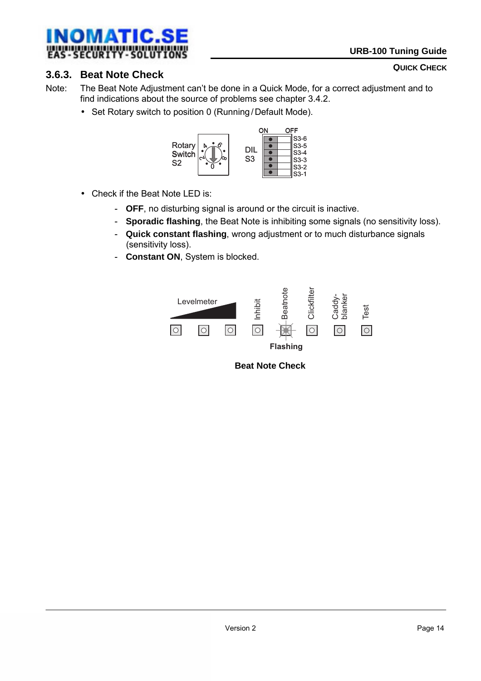<span id="page-13-0"></span>

#### **QUICK CHECK**

#### **3.6.3. Beat Note Check**

- Note: The Beat Note Adjustment can't be done in a Quick Mode, for a correct adjustment and to find indications about the source of problems see chapter 3.4.2.
	- Set Rotary switch to position 0 (Running / Default Mode).



- Check if the Beat Note LED is:
	- **OFF**, no disturbing signal is around or the circuit is inactive.
	- **Sporadic flashing**, the Beat Note is inhibiting some signals (no sensitivity loss).
	- **Quick constant flashing**, wrong adjustment or to much disturbance signals (sensitivity loss).
	- - **Constant ON**, System is blocked.



 **Beat Note Check**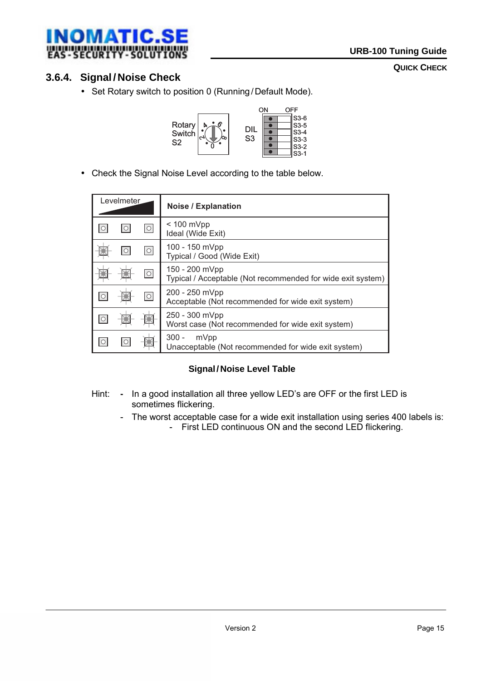<span id="page-14-0"></span>

#### **QUICK CHECK**

## **3.6.4. Signal / Noise Check**

• Set Rotary switch to position 0 (Running / Default Mode).



• Check the Signal Noise Level according to the table below.

| Levelmeter         | <b>Noise / Explanation</b>                                                    |
|--------------------|-------------------------------------------------------------------------------|
| $\circ$            | $< 100$ mVpp<br>Ideal (Wide Exit)                                             |
| $\circ$            | 100 - 150 mVpp<br>Typical / Good (Wide Exit)                                  |
| $ \circ $          | 150 - 200 mVpp<br>Typical / Acceptable (Not recommended for wide exit system) |
| $\overline{\circ}$ | 200 - 250 mVpp<br>Acceptable (Not recommended for wide exit system)           |
|                    | 250 - 300 mVpp<br>Worst case (Not recommended for wide exit system)           |
|                    | $300 -$<br>mVpp<br>Unacceptable (Not recommended for wide exit system)        |

#### **Signal/ Noise Level Table**

- Hint: **-** In a good installation all three yellow LED's are OFF or the first LED is sometimes flickering.
	- The worst acceptable case for a wide exit installation using series 400 labels is:
		- First LED continuous ON and the second LED flickering.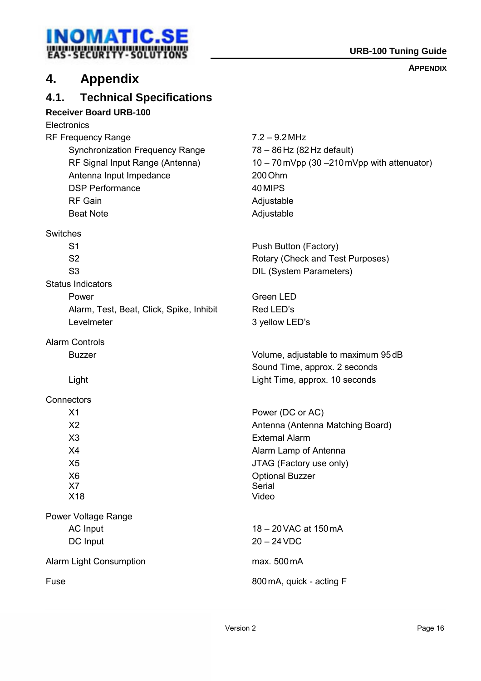## <span id="page-15-0"></span>**INOMATIC.SE URB-100 Tuning Guide**<br>
EAS-SECURITY-SOLUTIONS

#### **APPENDIX**

## **4. Appendix**

#### **4.1. Technical Specifications**

#### **Receiver Board URB-100**

**Electronics** 

RF Frequency Range 7.2 – 9.2 MHz Synchronization Frequency Range 78 – 86Hz (82Hz default) Antenna Input Impedance 200 Ohm DSP Performance 40 MIPS RF Gain **Adjustable** Beat Note **Adjustable** 

**Switches** 

Status Indicators

Alarm, Test, Beat, Click, Spike, Inhibit Red LED's Levelmeter 3 yellow LED's

Alarm Controls

**Connectors** 

Power Voltage Range DC Input 20 – 24 VDC

Alarm Light Consumption max. 500 mA

RF Signal Input Range (Antenna) 10 – 70mVpp (30 – 210mVpp with attenuator)

S1 **Push Button (Factory)** S2 Rotary (Check and Test Purposes) S3 DIL (System Parameters)

Power Green LED

Buzzer Volume, adjustable to maximum 95dB Sound Time, approx. 2 seconds Light Light Time, approx. 10 seconds

X1 Power (DC or AC) X2 Antenna (Antenna Matching Board) X3 External Alarm X4 Alarm Lamp of Antenna X5 JTAG (Factory use only) X6 Optional Buzzer X7 Serial X18 Video

AC Input 18 – 20 VAC at 150 mA

Fuse 800mA, quick - acting F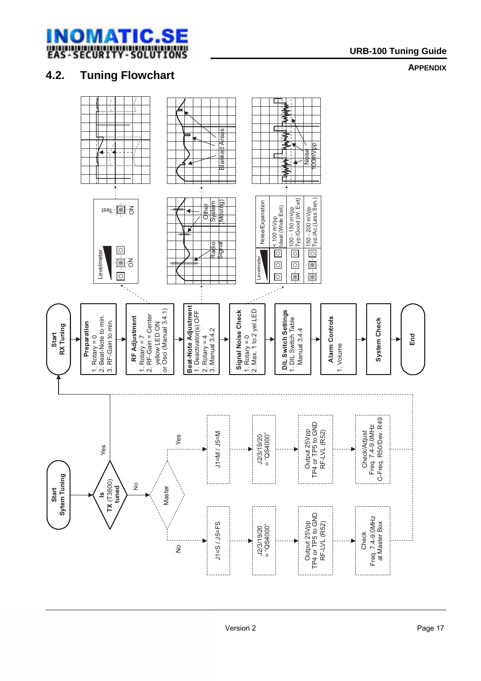<span id="page-16-0"></span>

**APPENDIX**

## **4.2. Tuning Flowchart**

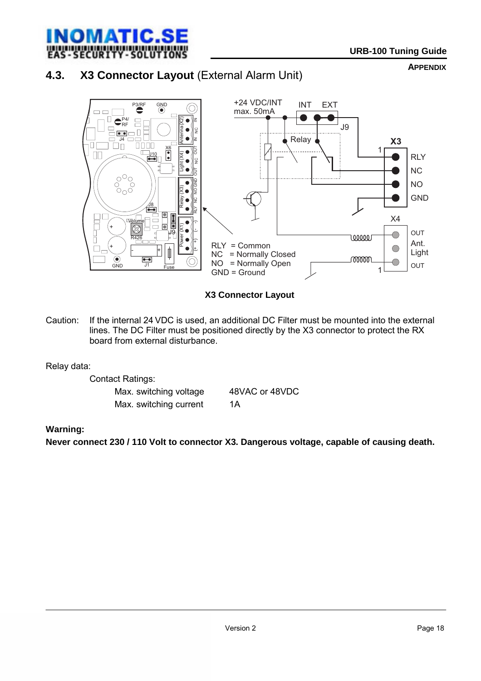<span id="page-17-0"></span>

## **4.3. X3 Connector Layout** (External Alarm Unit)

**APPENDIX**



 **X3 Connector Layout** 

Caution: If the internal 24 VDC is used, an additional DC Filter must be mounted into the external lines. The DC Filter must be positioned directly by the X3 connector to protect the RX board from external disturbance.

#### Relay data:

 Contact Ratings: Max. switching voltage 48VAC or 48VDC Max. switching current 1A

#### **Warning:**

**Never connect 230 / 110 Volt to connector X3. Dangerous voltage, capable of causing death.**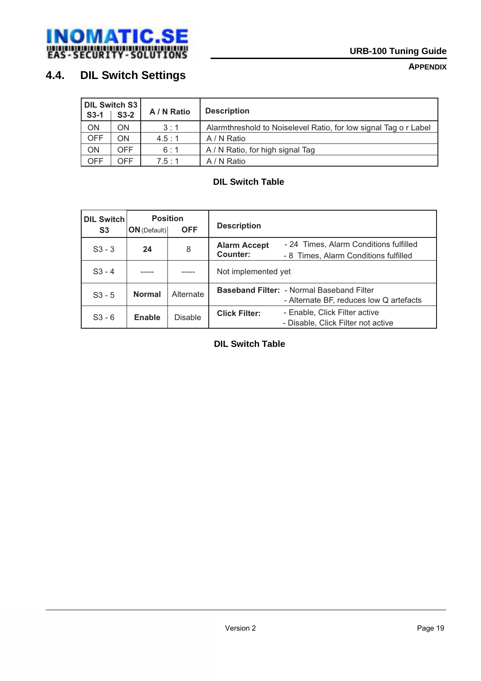<span id="page-18-0"></span>

#### **APPENDIX**

## **4.4. DIL Switch Settings**

| DIL Switch S3<br>$S3-2$<br>$S3-1$ |      | A / N Ratio | <b>Description</b>                                               |
|-----------------------------------|------|-------------|------------------------------------------------------------------|
| <b>ON</b>                         | ON   | 3:1         | Alarmthreshold to Noiselevel Ratio, for low signal Tag o r Label |
| <b>OFF</b>                        | ON   | 4.5:1       | A / N Ratio                                                      |
| ON                                | OFF. | 6:1         | A / N Ratio, for high signal Tag                                 |
| OFF                               | OFF. | 7.5:1       | A / N Ratio                                                      |

#### **DIL Switch Table**

| <b>DIL Switch</b><br>S <sub>3</sub> | <b>Position</b><br><b>OFF</b><br>$ON$ (Default) |                | <b>Description</b>              |                                                                                             |
|-------------------------------------|-------------------------------------------------|----------------|---------------------------------|---------------------------------------------------------------------------------------------|
| $S3 - 3$                            | 24                                              | 8              | <b>Alarm Accept</b><br>Counter: | - 24 Times, Alarm Conditions fulfilled<br>- 8 Times, Alarm Conditions fulfilled             |
| $S3 - 4$                            |                                                 |                | Not implemented yet             |                                                                                             |
| $S_3 - 5$                           | <b>Normal</b>                                   | Alternate      |                                 | <b>Baseband Filter: - Normal Baseband Filter</b><br>- Alternate BF, reduces low Q artefacts |
| $S3 - 6$                            | Enable                                          | <b>Disable</b> | <b>Click Filter:</b>            | - Enable, Click Filter active<br>- Disable, Click Filter not active                         |

 **DIL Switch Table**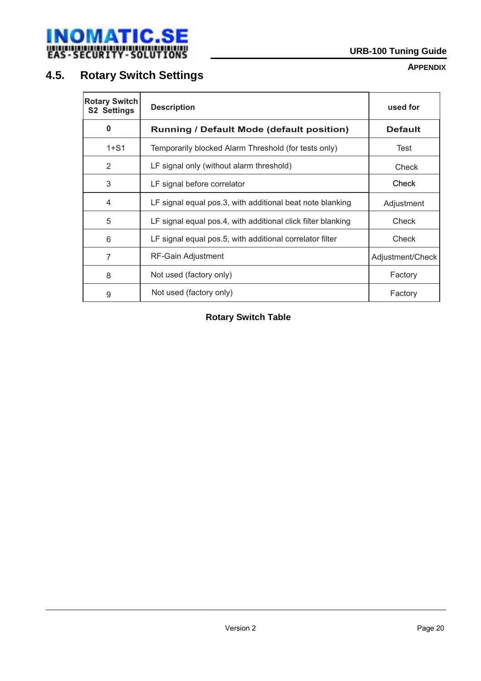<span id="page-19-0"></span>

#### **APPENDIX**

## **4.5. Rotary Switch Settings**

| <b>Rotary Switch</b><br><b>S2 Settings</b> | <b>Description</b>                                           | used for         |
|--------------------------------------------|--------------------------------------------------------------|------------------|
| $\bf{0}$                                   | <b>Running / Default Mode (default position)</b>             | <b>Default</b>   |
| $1 + S1$                                   | Temporarily blocked Alarm Threshold (for tests only)         | Test             |
| 2                                          | LF signal only (without alarm threshold)                     | Check            |
| 3                                          | LF signal before correlator                                  | Check            |
| 4                                          | LF signal equal pos.3, with additional beat note blanking    | Adjustment       |
| 5                                          | LF signal equal pos.4, with additional click filter blanking | Check            |
| 6                                          | LF signal equal pos.5, with additional correlator filter     | Check            |
| 7                                          | RF-Gain Adjustment                                           | Adjustment/Check |
| 8                                          | Not used (factory only)                                      | Factory          |
| 9                                          | Not used (factory only)                                      | Factory          |

#### **Rotary Switch Table**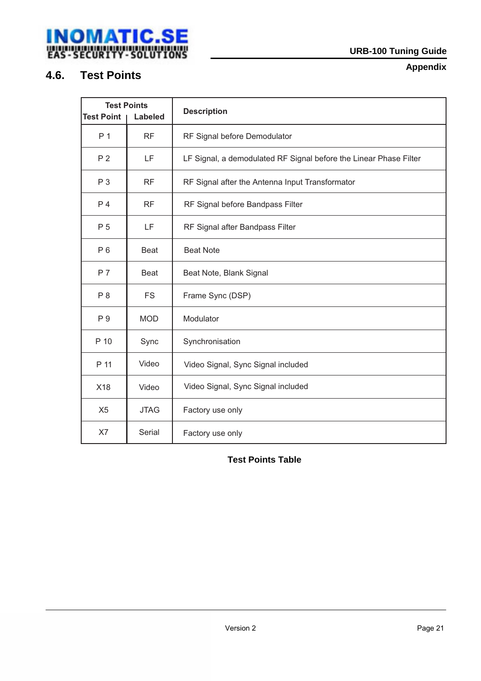## <span id="page-20-0"></span>**INOMATIC.SE**<br>
WATIC.SE<br>
EAS-SECURTYY-SOLUTIONS

## **4.6. Test Points**

**Appendix** 

| <b>Test Points</b><br><b>Test Point</b><br><b>Labeled</b> |             | <b>Description</b>                                                |
|-----------------------------------------------------------|-------------|-------------------------------------------------------------------|
| P 1                                                       | <b>RF</b>   | RF Signal before Demodulator                                      |
| P <sub>2</sub>                                            | LF          | LF Signal, a demodulated RF Signal before the Linear Phase Filter |
| P 3                                                       | RF          | RF Signal after the Antenna Input Transformator                   |
| P <sub>4</sub>                                            | <b>RF</b>   | RF Signal before Bandpass Filter                                  |
| P 5                                                       | LF          | RF Signal after Bandpass Filter                                   |
| $P_6$                                                     | <b>Beat</b> | <b>Beat Note</b>                                                  |
| P 7                                                       | <b>Beat</b> | Beat Note, Blank Signal                                           |
| P 8                                                       | <b>FS</b>   | Frame Sync (DSP)                                                  |
| P 9                                                       | <b>MOD</b>  | Modulator                                                         |
| P 10                                                      | Sync        | Synchronisation                                                   |
| P 11                                                      | Video       | Video Signal, Sync Signal included                                |
| X18                                                       | Video       | Video Signal, Sync Signal included                                |
| X <sub>5</sub>                                            | <b>JTAG</b> | Factory use only                                                  |
| X7                                                        | Serial      | Factory use only                                                  |

 **Test Points Table**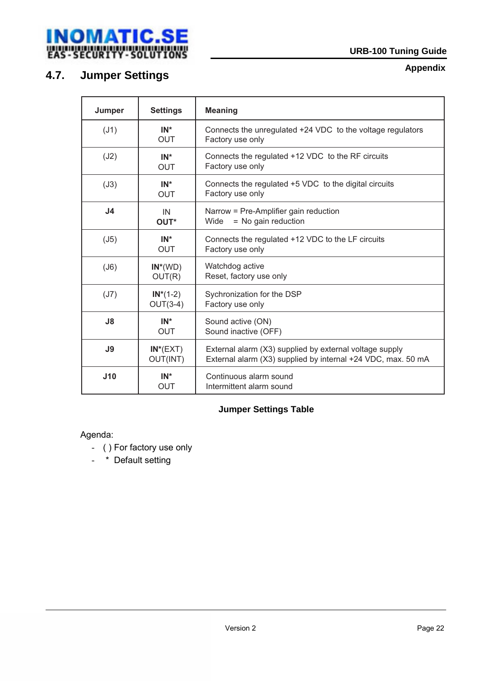<span id="page-21-0"></span>

## **4.7. Jumper Settings**

**Appendix**

| Jumper         | <b>Settings</b>           | <b>Meaning</b>                                                                                                          |
|----------------|---------------------------|-------------------------------------------------------------------------------------------------------------------------|
| (J1)           | $IN^*$<br><b>OUT</b>      | Connects the unregulated +24 VDC to the voltage regulators<br>Factory use only                                          |
| (J2)           | $IN^*$<br><b>OUT</b>      | Connects the regulated +12 VDC to the RF circuits<br>Factory use only                                                   |
| (J3)           | $IN^*$<br><b>OUT</b>      | Connects the regulated +5 VDC to the digital circuits<br>Factory use only                                               |
| J <sub>4</sub> | IN<br>OUT*                | Narrow = Pre-Amplifier gain reduction<br>= No gain reduction<br>Wide                                                    |
| (J5)           | $IN^*$<br><b>OUT</b>      | Connects the regulated +12 VDC to the LF circuits<br>Factory use only                                                   |
| (J6)           | $IN^*(WD)$<br>OUT(R)      | Watchdog active<br>Reset, factory use only                                                                              |
| (J7)           | $IN^*(1-2)$<br>$OUT(3-4)$ | Sychronization for the DSP<br>Factory use only                                                                          |
| J8             | $IN^*$<br><b>OUT</b>      | Sound active (ON)<br>Sound inactive (OFF)                                                                               |
| J9             | $IN^*(EXT)$<br>OUT(INT)   | External alarm (X3) supplied by external voltage supply<br>External alarm (X3) supplied by internal +24 VDC, max. 50 mA |
| J10            | $IN^*$<br><b>OUT</b>      | Continuous alarm sound<br>Intermittent alarm sound                                                                      |

#### **Jumper Settings Table**

#### Agenda:

- ( ) For factory use only
- \* Default setting